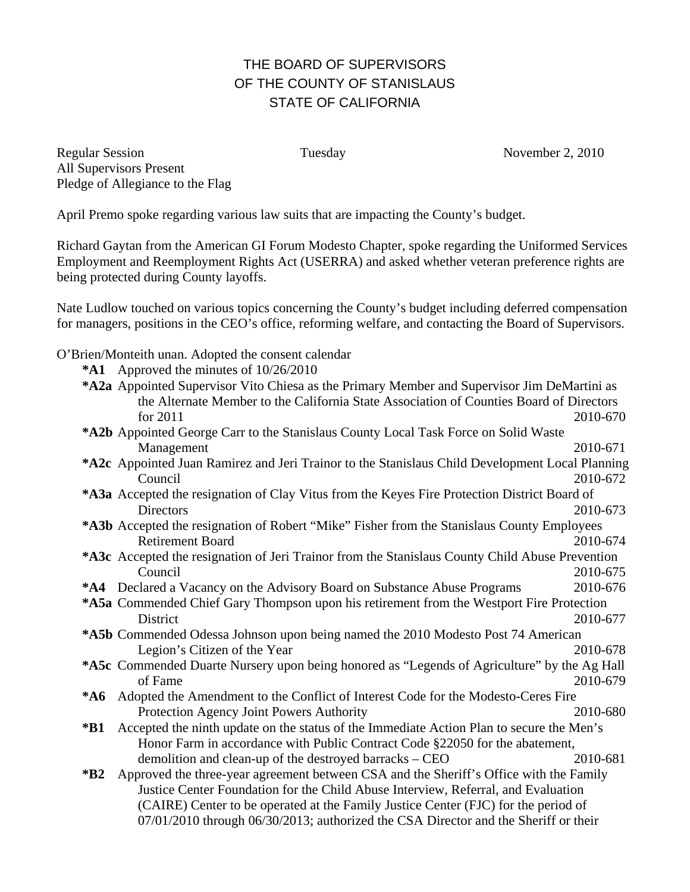## THE BOARD OF SUPERVISORS OF THE COUNTY OF STANISLAUS STATE OF CALIFORNIA

Regular Session Tuesday November 2, 2010 All Supervisors Present Pledge of Allegiance to the Flag

April Premo spoke regarding various law suits that are impacting the County's budget.

Richard Gaytan from the American GI Forum Modesto Chapter, spoke regarding the Uniformed Services Employment and Reemployment Rights Act (USERRA) and asked whether veteran preference rights are being protected during County layoffs.

Nate Ludlow touched on various topics concerning the County's budget including deferred compensation for managers, positions in the CEO's office, reforming welfare, and contacting the Board of Supervisors.

O'Brien/Monteith unan. Adopted the consent calendar

**\*A1** Approved the minutes of 10/26/2010

| *A2a Appointed Supervisor Vito Chiesa as the Primary Member and Supervisor Jim DeMartini as<br>the Alternate Member to the California State Association of Counties Board of Directors |          |
|----------------------------------------------------------------------------------------------------------------------------------------------------------------------------------------|----------|
| for $2011$                                                                                                                                                                             | 2010-670 |
| *A2b Appointed George Carr to the Stanislaus County Local Task Force on Solid Waste                                                                                                    |          |
| Management                                                                                                                                                                             | 2010-671 |
| *A2c Appointed Juan Ramirez and Jeri Trainor to the Stanislaus Child Development Local Planning                                                                                        |          |
| Council                                                                                                                                                                                | 2010-672 |
| *A3a Accepted the resignation of Clay Vitus from the Keyes Fire Protection District Board of                                                                                           |          |
| Directors                                                                                                                                                                              | 2010-673 |
| *A3b Accepted the resignation of Robert "Mike" Fisher from the Stanislaus County Employees                                                                                             |          |
| <b>Retirement Board</b>                                                                                                                                                                | 2010-674 |
| *A3c Accepted the resignation of Jeri Trainor from the Stanislaus County Child Abuse Prevention                                                                                        |          |
| Council                                                                                                                                                                                | 2010-675 |
| <b>*A4</b> Declared a Vacancy on the Advisory Board on Substance Abuse Programs                                                                                                        | 2010-676 |
| *A5a Commended Chief Gary Thompson upon his retirement from the Westport Fire Protection                                                                                               |          |
| <b>District</b>                                                                                                                                                                        | 2010-677 |
| <b>*A5b</b> Commended Odessa Johnson upon being named the 2010 Modesto Post 74 American                                                                                                |          |
| Legion's Citizen of the Year                                                                                                                                                           | 2010-678 |
| *A5c Commended Duarte Nursery upon being honored as "Legends of Agriculture" by the Ag Hall<br>of Fame                                                                                 | 2010-679 |
| Adopted the Amendment to the Conflict of Interest Code for the Modesto-Ceres Fire<br>$*$ A6                                                                                            |          |
| Protection Agency Joint Powers Authority                                                                                                                                               | 2010-680 |
| Accepted the ninth update on the status of the Immediate Action Plan to secure the Men's<br>$*B1$                                                                                      |          |
| Honor Farm in accordance with Public Contract Code §22050 for the abatement,                                                                                                           |          |
| demolition and clean-up of the destroyed barracks – CEO                                                                                                                                | 2010-681 |
| Approved the three-year agreement between CSA and the Sheriff's Office with the Family<br>$*B2$                                                                                        |          |
| Justice Center Foundation for the Child Abuse Interview, Referral, and Evaluation                                                                                                      |          |
| (CAIRE) Center to be operated at the Family Justice Center (FJC) for the period of                                                                                                     |          |
| 07/01/2010 through 06/30/2013; authorized the CSA Director and the Sheriff or their                                                                                                    |          |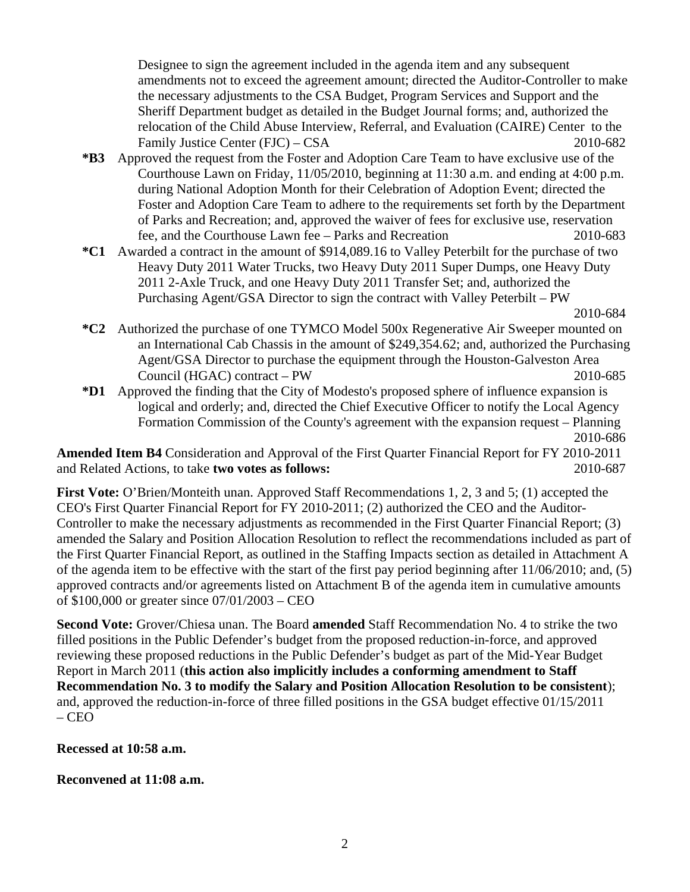Designee to sign the agreement included in the agenda item and any subsequent amendments not to exceed the agreement amount; directed the Auditor-Controller to make the necessary adjustments to the CSA Budget, Program Services and Support and the Sheriff Department budget as detailed in the Budget Journal forms; and, authorized the relocation of the Child Abuse Interview, Referral, and Evaluation (CAIRE) Center to the Family Justice Center (FJC) – CSA 2010-682

- **\*B3** Approved the request from the Foster and Adoption Care Team to have exclusive use of the Courthouse Lawn on Friday, 11/05/2010, beginning at 11:30 a.m. and ending at 4:00 p.m. during National Adoption Month for their Celebration of Adoption Event; directed the Foster and Adoption Care Team to adhere to the requirements set forth by the Department of Parks and Recreation; and, approved the waiver of fees for exclusive use, reservation fee, and the Courthouse Lawn fee – Parks and Recreation 2010-683
- **\*C1** Awarded a contract in the amount of \$914,089.16 to Valley Peterbilt for the purchase of two Heavy Duty 2011 Water Trucks, two Heavy Duty 2011 Super Dumps, one Heavy Duty 2011 2-Axle Truck, and one Heavy Duty 2011 Transfer Set; and, authorized the Purchasing Agent/GSA Director to sign the contract with Valley Peterbilt – PW

2010-684

- **\*C2** Authorized the purchase of one TYMCO Model 500x Regenerative Air Sweeper mounted on an International Cab Chassis in the amount of \$249,354.62; and, authorized the Purchasing Agent/GSA Director to purchase the equipment through the Houston-Galveston Area Council (HGAC) contract – PW 2010-685
- **\*D1** Approved the finding that the City of Modesto's proposed sphere of influence expansion is logical and orderly; and, directed the Chief Executive Officer to notify the Local Agency Formation Commission of the County's agreement with the expansion request – Planning 2010-686

**Amended Item B4** Consideration and Approval of the First Quarter Financial Report for FY 2010-2011 and Related Actions, to take **two votes as follows:** 2010-687

**First Vote:** O'Brien/Monteith unan. Approved Staff Recommendations 1, 2, 3 and 5; (1) accepted the CEO's First Quarter Financial Report for FY 2010-2011; (2) authorized the CEO and the Auditor-Controller to make the necessary adjustments as recommended in the First Quarter Financial Report; (3) amended the Salary and Position Allocation Resolution to reflect the recommendations included as part of the First Quarter Financial Report, as outlined in the Staffing Impacts section as detailed in Attachment A of the agenda item to be effective with the start of the first pay period beginning after 11/06/2010; and, (5) approved contracts and/or agreements listed on Attachment B of the agenda item in cumulative amounts of \$100,000 or greater since 07/01/2003 – CEO

**Second Vote:** Grover/Chiesa unan. The Board **amended** Staff Recommendation No. 4 to strike the two filled positions in the Public Defender's budget from the proposed reduction-in-force, and approved reviewing these proposed reductions in the Public Defender's budget as part of the Mid-Year Budget Report in March 2011 (**this action also implicitly includes a conforming amendment to Staff Recommendation No. 3 to modify the Salary and Position Allocation Resolution to be consistent**); and, approved the reduction-in-force of three filled positions in the GSA budget effective 01/15/2011 – CEO

## **Recessed at 10:58 a.m.**

**Reconvened at 11:08 a.m.**